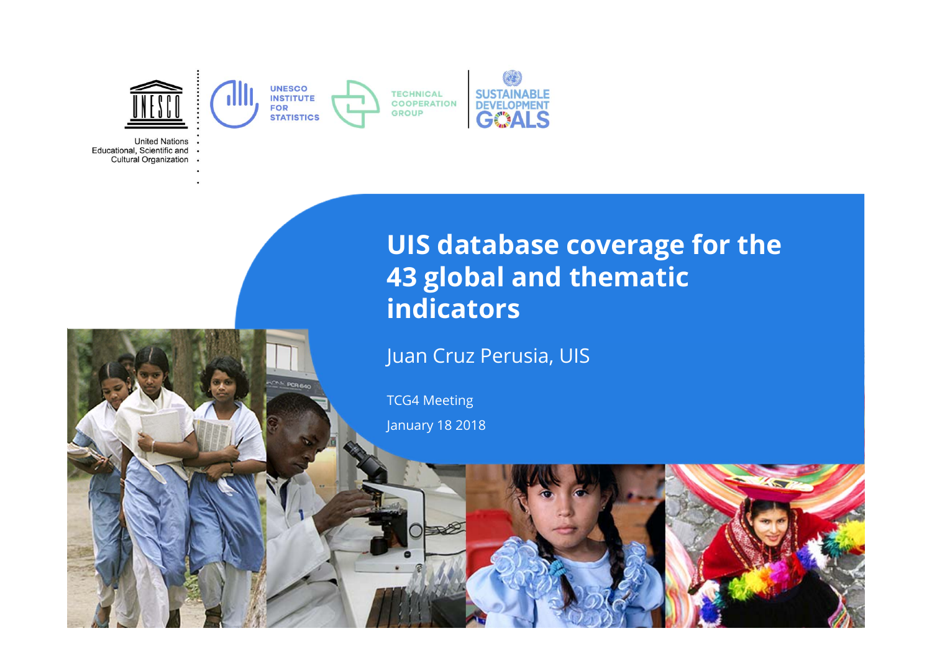

**United Nations** Educational, Scientific and . Cultural Organization .

# **UIS database coverage for the 43 global and thematic indicators**

Juan Cruz Perusia, UIS

TCG4 Meeting

January 18 2018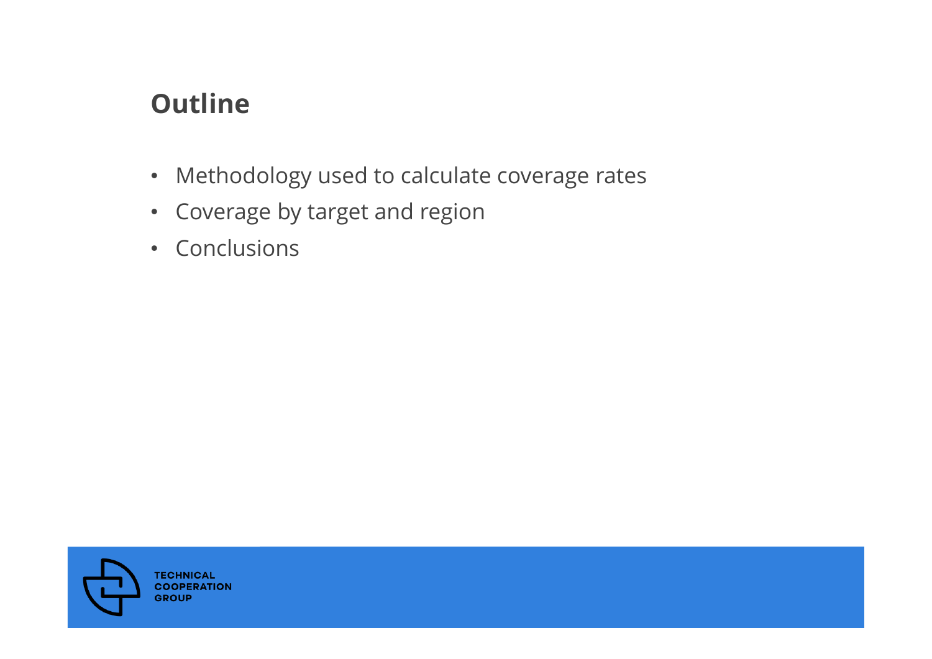# **Outline**

- •Methodology used to calculate coverage rates
- •Coverage by target and region
- Conclusions

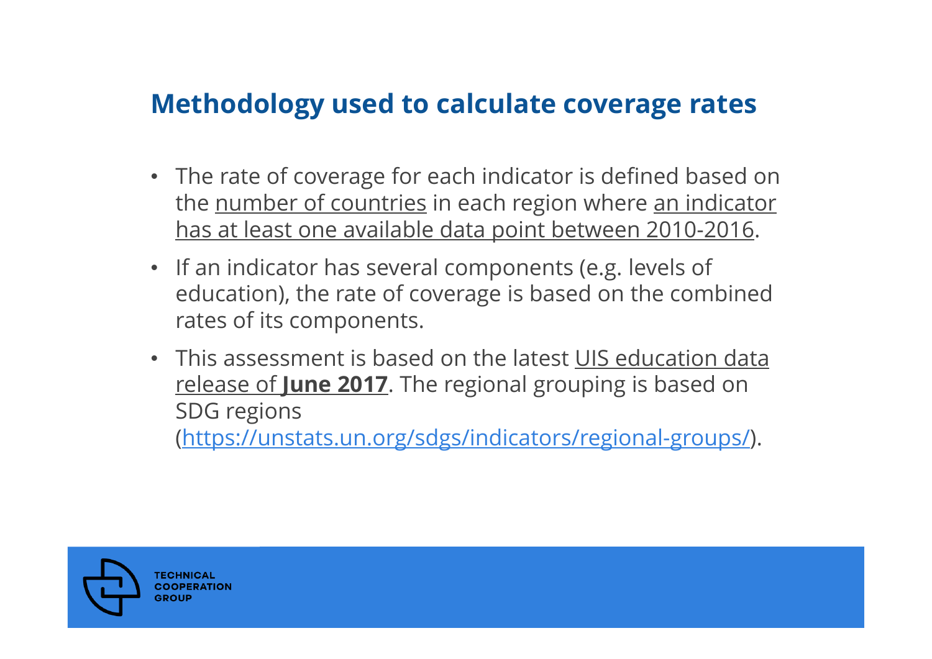# **Methodology used to calculate coverage rates**

- The rate of coverage for each indicator is defined based on the number of countries in each region where an indicator has at least one available data point between 2010-2016.
- If an indicator has several components (e.g. levels of education), the rate of coverage is based on the combined rates of its components.
- This assessment is based on the latest UIS education data release of **June 2017**. The regional grouping is based on SDG regions (https://unstats.un.org/sdgs/indicators/regional-groups/).

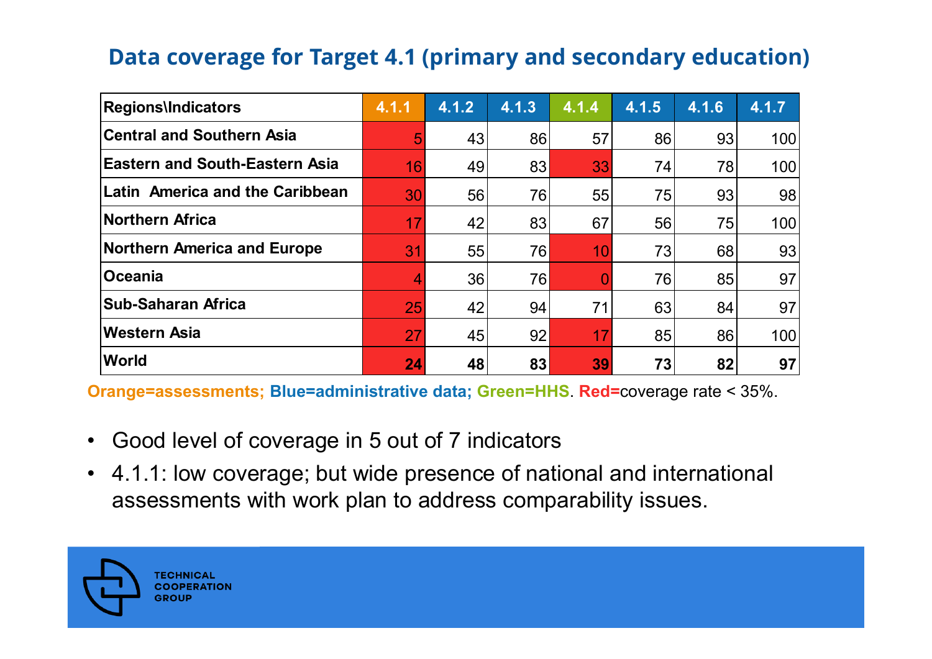## **Data coverage for Target 4.1 (primary and secondary education)**

| <b>Regions\Indicators</b>             | 4.1.1 | 4.1.2 | 4.1.3     | 4.1.4 | 4.1.5 | 4.1.6 | 4.1.7 |
|---------------------------------------|-------|-------|-----------|-------|-------|-------|-------|
| <b>Central and Southern Asia</b>      | 5     | 43    | 86        | 57    | 86    | 93    | 100   |
| <b>Eastern and South-Eastern Asia</b> | 16    | 49    | 83        | 33    | 74    | 78    | 100   |
| Latin America and the Caribbean       | 30    | 56    | <b>76</b> | 55    | 75    | 93    | 98    |
| <b>Northern Africa</b>                | 17    | 42    | 83        | 67    | 56    | 75    | 100   |
| <b>Northern America and Europe</b>    | 31    | 55    | <b>76</b> | 10    | 73    | 68    | 93    |
| Oceania                               | 4     | 36    | 76        |       | 76    | 85    | 97    |
| <b>Sub-Saharan Africa</b>             | 25    | 42    | 94        | 71    | 63    | 84    | 97    |
| <b>Western Asia</b>                   | 27    | 45    | 92        | 17    | 85    | 86    | 100   |
| World                                 | 24    | 48    | 83        | 39    | 73    | 82    | 97    |

**Orange=assessments; Blue=administrative data; Green=HHS**. **Red=**coverage rate < 35%.

- Good level of coverage in 5 out of 7 indicators
- 4.1.1: low coverage; but wide presence of national and international assessments with work plan to address comparability issues.

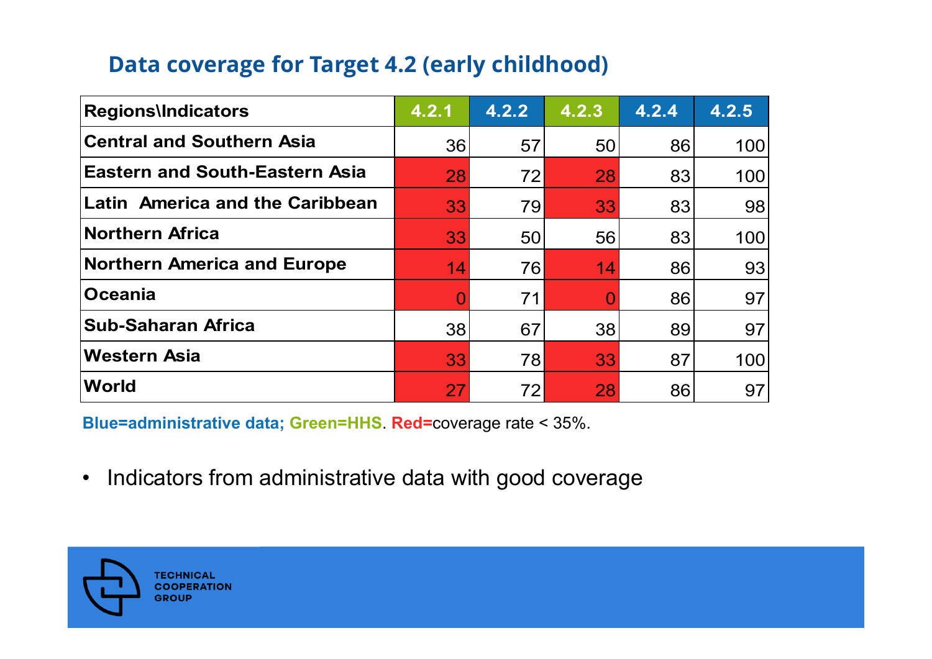#### **Data coverage for Target 4.2 (early childhood)**

| <b>Regions\Indicators</b>             | 4.2.1 | 4.2.2 | 4.2.3 | 4.2.4 | 4.2.5 |
|---------------------------------------|-------|-------|-------|-------|-------|
| <b>Central and Southern Asia</b>      | 36    | 57    | 50    | 86    | 100   |
| <b>Eastern and South-Eastern Asia</b> | 28    | 72    | 28    | 83    | 100   |
| Latin America and the Caribbean       | 33    | 79    | 33    | 83    | 98    |
| <b>Northern Africa</b>                | 33    | 50    | 56    | 83    | 100   |
| <b>Northern America and Europe</b>    | 14    | 76    | 14    | 86    | 93    |
| <b>Oceania</b>                        |       | 71    |       | 86    | 97    |
| <b>Sub-Saharan Africa</b>             | 38    | 67    | 38    | 89    | 97    |
| <b> Western Asia</b>                  | 33    | 78    | 33    | 87    | 100   |
| <b>World</b>                          | 27    | 72    | 28    | 86    | 97    |

**Blue=administrative data; Green=HHS**. **Red=**coverage rate < 35%.

•Indicators from administrative data with good coverage

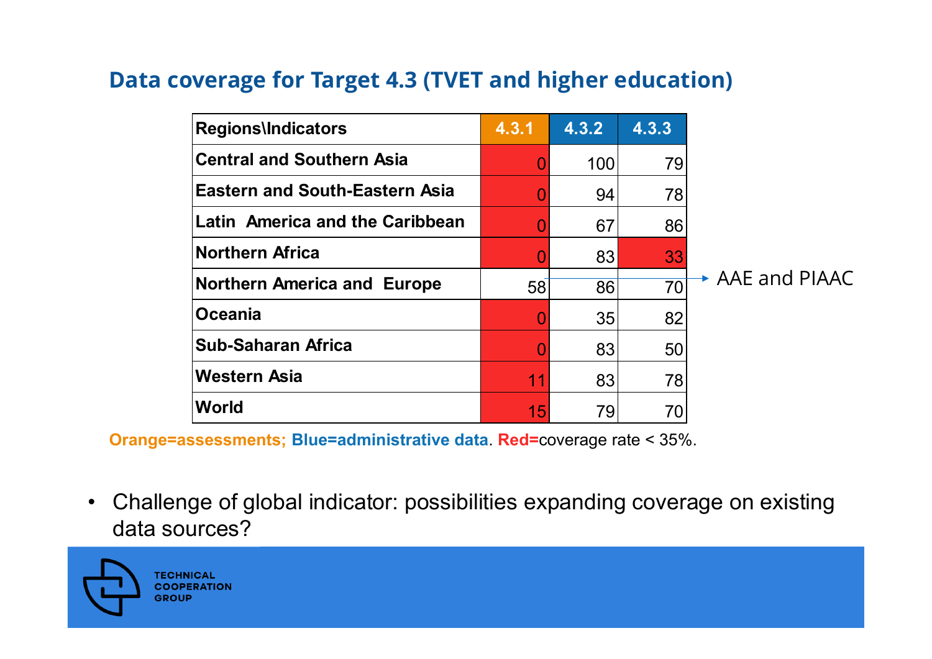### **Data coverage for Target 4.3 (TVET and higher education)**

| <b>Regions\Indicators</b>             | 4.3.1 | 4.3.2 | 4.3.3 |                             |
|---------------------------------------|-------|-------|-------|-----------------------------|
| <b>Central and Southern Asia</b>      |       | 100   | 79    |                             |
| <b>Eastern and South-Eastern Asia</b> |       | 94    | 78    |                             |
| Latin America and the Caribbean       |       | 67    | 86    |                             |
| <b>Northern Africa</b>                |       | 83    | 33    |                             |
| <b>Northern America and Europe</b>    | 58    | 86    | 70    | $\rightarrow$ AAE and PIAAC |
| Oceania                               |       | 35    | 82    |                             |
| <b>Sub-Saharan Africa</b>             |       | 83    | 50    |                             |
| Western Asia                          | 11    | 83    | 78    |                             |
| <b>World</b>                          | 15    | 79    | 70    |                             |

**Orange=assessments; Blue=administrative data**. **Red=**coverage rate < 35%.

• Challenge of global indicator: possibilities expanding coverage on existing data sources?

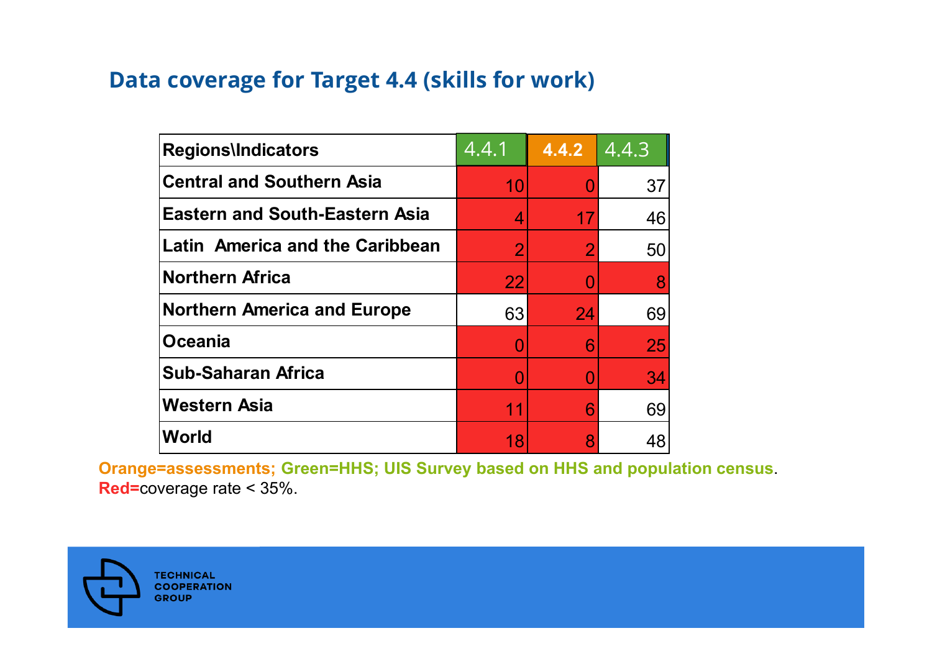## **Data coverage for Target 4.4 (skills for work)**

| <b>Regions\Indicators</b>             | 4.4.1          | 4.4.2          | 4.4.3 |
|---------------------------------------|----------------|----------------|-------|
| <b>Central and Southern Asia</b>      | 10             |                | 37    |
| <b>Eastern and South-Eastern Asia</b> | 4              | 17             | 46    |
| Latin America and the Caribbean       | $\overline{2}$ | $\overline{2}$ | 50    |
| <b>Northern Africa</b>                | 22             |                | 8     |
| <b>Northern America and Europe</b>    | 63             | 24             | 69    |
| Oceania                               |                | 6              | 25    |
| <b>Sub-Saharan Africa</b>             |                |                | 34    |
| <b>Western Asia</b>                   | 11             | 6              | 69    |
| World                                 | 18             | 8              | 48    |

**Orange=assessments; Green=HHS; UIS Survey based on HHS and population census**. **Red=**coverage rate < 35%.

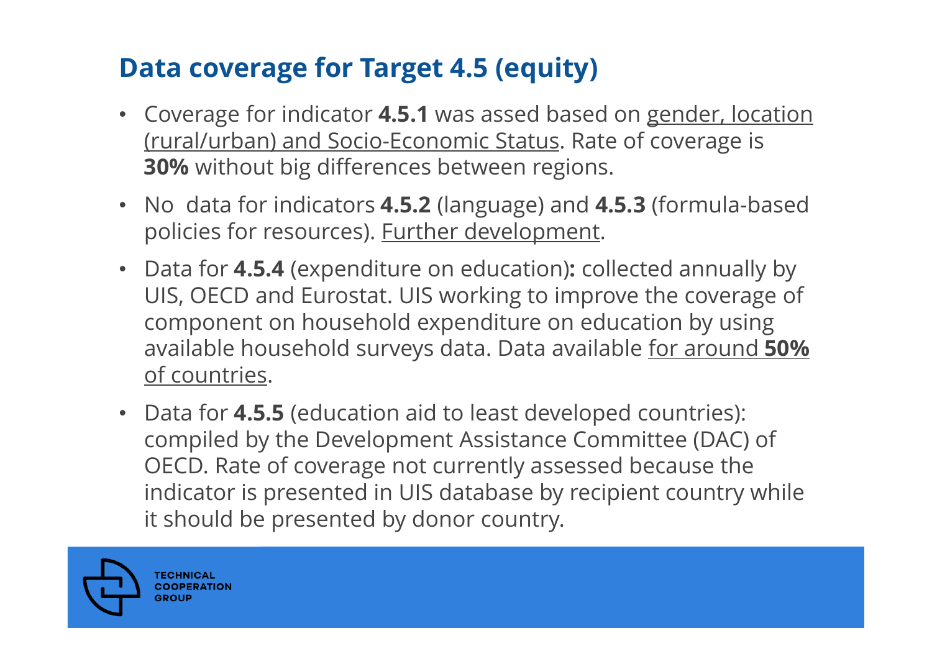# **Data coverage for Target 4.5 (equity)**

- Coverage for indicator **4.5.1** was assed based on gender, location (rural/urban) and Socio-Economic Status. Rate of coverage is **30%** without big differences between regions.
- No data for indicators **4.5.2** (language) and **4.5.3** (formula-based policies for resources). **Further development**.
- Data for **4.5.4** (expenditure on education)**:** collected annually by UIS, OECD and Eurostat. UIS working to improve the coverage of component on household expenditure on education by using available household surveys data. Data available for around **50%** of countries.
- Data for **4.5.5** (education aid to least developed countries): compiled by the Development Assistance Committee (DAC) of OECD. Rate of coverage not currently assessed because the indicator is presented in UIS database by recipient country while it should be presented by donor country.

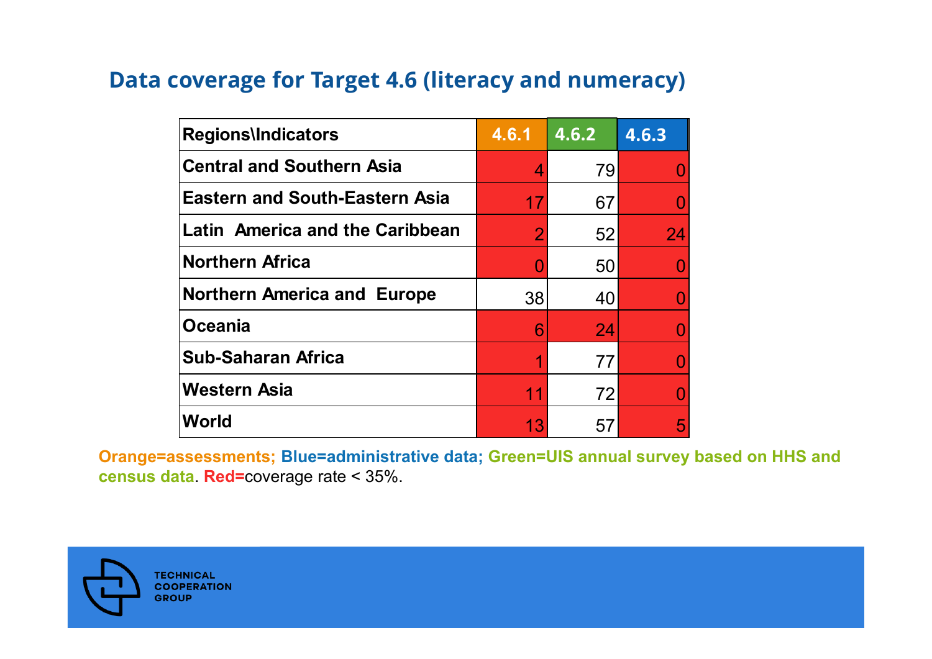#### **Data coverage for Target 4.6 (literacy and numeracy)**

| <b>Regions\Indicators</b>             | 4.6.1 | 4.6.2 | 4.6.3 |
|---------------------------------------|-------|-------|-------|
| <b>Central and Southern Asia</b>      | 4     | 79    |       |
| <b>Eastern and South-Eastern Asia</b> | 17    | 67    |       |
| Latin America and the Caribbean       | 2     | 52    | 24    |
| <b>Northern Africa</b>                |       | 50    |       |
| <b>Northern America and Europe</b>    | 38    | 40    |       |
| <b>Oceania</b>                        | 6     | 24    |       |
| <b>Sub-Saharan Africa</b>             |       | 77    |       |
| <b>Western Asia</b>                   | 11    | 72    |       |
| <b>World</b>                          | 13    | 57    | 5     |

**Orange=assessments; Blue=administrative data; Green=UIS annual survey based on HHS and census data**. **Red=**coverage rate < 35%.

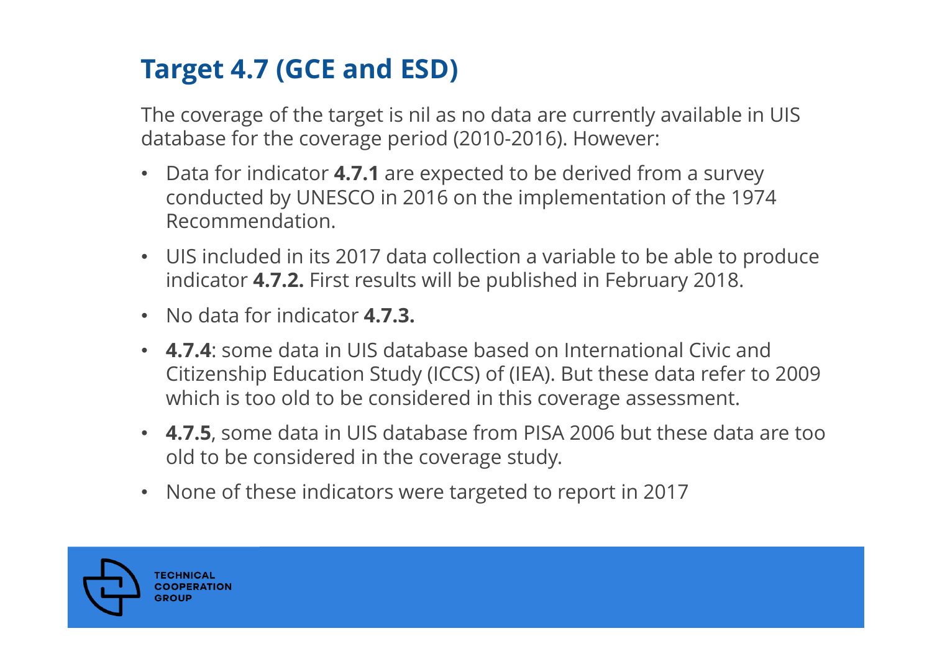# **Target 4.7 (GCE and ESD)**

The coverage of the target is nil as no data are currently available in UIS database for the coverage period (2010-2016). However:

- • Data for indicator **4.7.1** are expected to be derived from a survey conducted by UNESCO in 2016 on the implementation of the 1974 Recommendation.
- UIS included in its 2017 data collection a variable to be able to produce indicator **4.7.2.** First results will be published in February 2018.
- No data for indicator **4.7.3.**
- **4.7.4**: some data in UIS database based on International Civic and Citizenship Education Study (ICCS) of (IEA). But these data refer to 2009 which is too old to be considered in this coverage assessment.
- **4.7.5**, some data in UIS database from PISA 2006 but these data are too old to be considered in the coverage study.
- None of these indicators were targeted to report in 2017

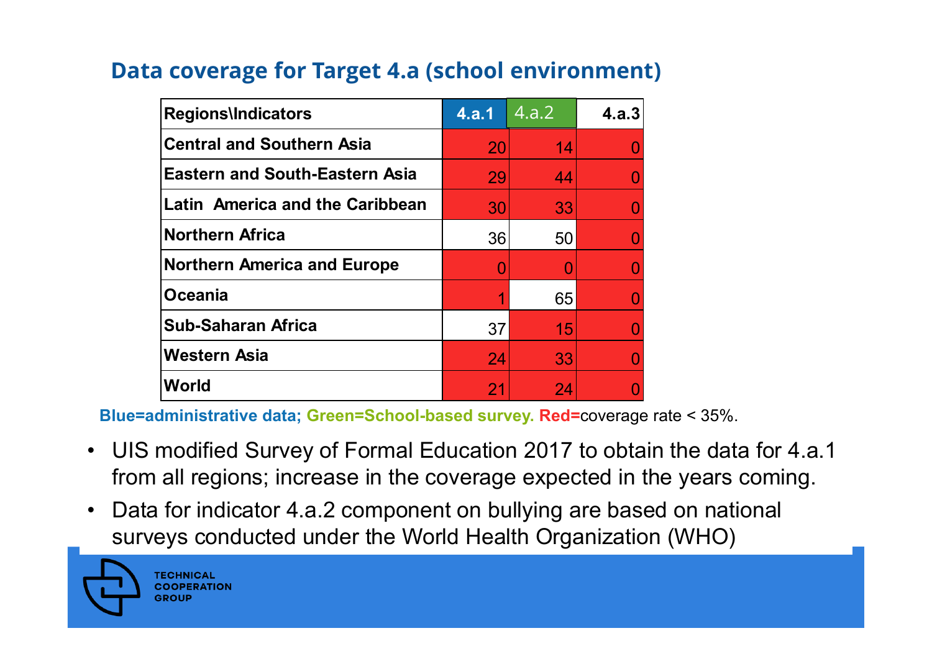### **Data coverage for Target 4.a (school environment)**

| <b>Regions/Indicators</b>             | 4.a.1 | 4.a.2 | 4.a.3 |
|---------------------------------------|-------|-------|-------|
| <b>Central and Southern Asia</b>      | 20    | 14    |       |
| <b>Eastern and South-Eastern Asia</b> | 29    | 44    |       |
| Latin America and the Caribbean       | 30    | 33    |       |
| <b>Northern Africa</b>                | 36    | 50    |       |
| Northern America and Europe           |       |       |       |
| Oceania                               | 4     | 65    |       |
| <b>Sub-Saharan Africa</b>             | 37    | 15    |       |
| <b> Western Asia</b>                  | 24    | 33    |       |
| World                                 | 21    | 24    |       |

**Blue=administrative data; Green=School-based survey. Red=**coverage rate < 35%.

- UIS modified Survey of Formal Education 2017 to obtain the data for 4.a.1 from all regions; increase in the coverage expected in the years coming.
- $\bullet$  Data for indicator 4.a.2 component on bullying are based on national surveys conducted under the World Health Organization (WHO)

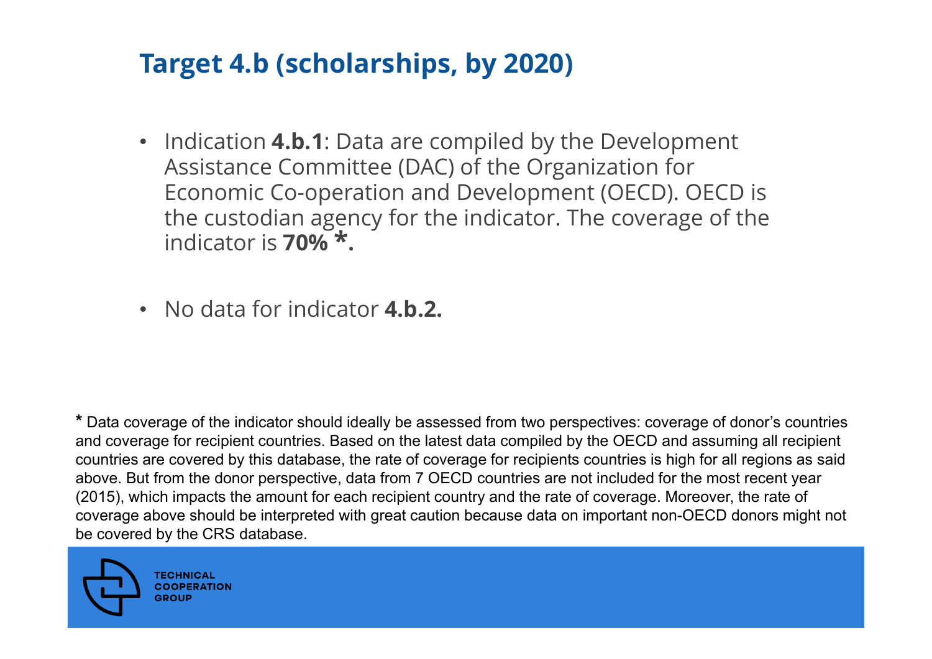# **Target 4.b (scholarships, by 2020)**

- Indication **4.b.1**: Data are compiled by the Development Assistance Committee (DAC) of the Organization for Economic Co-operation and Development (OECD). OECD is the custodian agency for the indicator. The coverage of the indicator is **70% \*.**
- No data for indicator **4.b.2.**

**\*** Data coverage of the indicator should ideally be assessed from two perspectives: coverage of donor's countries and coverage for recipient countries. Based on the latest data compiled by the OECD and assuming all recipient countries are covered by this database, the rate of coverage for recipients countries is high for all regions as said above. But from the donor perspective, data from 7 OECD countries are not included for the most recent year (2015), which impacts the amount for each recipient country and the rate of coverage. Moreover, the rate of coverage above should be interpreted with great caution because data on important non-OECD donors might not be covered by the CRS database.



**TECHNICAL COOPERATION** GROU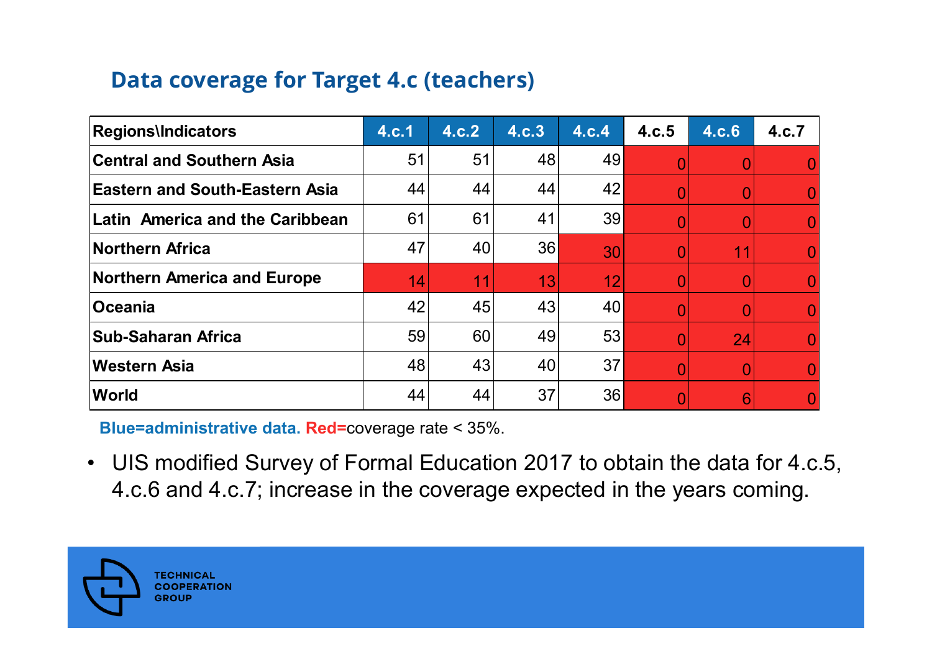## **Data coverage for Target 4.c (teachers)**

| <b>Regions\Indicators</b>             | 4.c.1 | 4.c.2 | $4.c.\overline{3}$ | 4.c.4 | 4.c.5 | 4.c.6 | 4.c.7 |
|---------------------------------------|-------|-------|--------------------|-------|-------|-------|-------|
| <b>Central and Southern Asia</b>      | 51    | 51    | 48                 | 49    |       |       |       |
| <b>Eastern and South-Eastern Asia</b> | 44    | 44    | 44                 | 42    |       |       |       |
| Latin America and the Caribbean       | 61    | 61    | 41                 | 39    |       |       |       |
| <b>Northern Africa</b>                | 47    | 40    | 36                 | 30    |       | 11    |       |
| <b>Northern America and Europe</b>    | 14    | 11    | 13                 | 12    |       |       |       |
| <b>Oceania</b>                        | 42    | 45    | 43                 | 40    |       |       |       |
| <b>Sub-Saharan Africa</b>             | 59    | 60    | 49                 | 53    |       | 24    |       |
| <b>Western Asia</b>                   | 48    | 43    | 40                 | 37    |       |       |       |
| <b>World</b>                          | 44    | 44    | 37                 | 36    |       | 6     |       |

**Blue=administrative data. Red=**coverage rate < 35%.

• UIS modified Survey of Formal Education 2017 to obtain the data for 4.c.5, 4.c.6 and 4.c.7; increase in the coverage expected in the years coming.

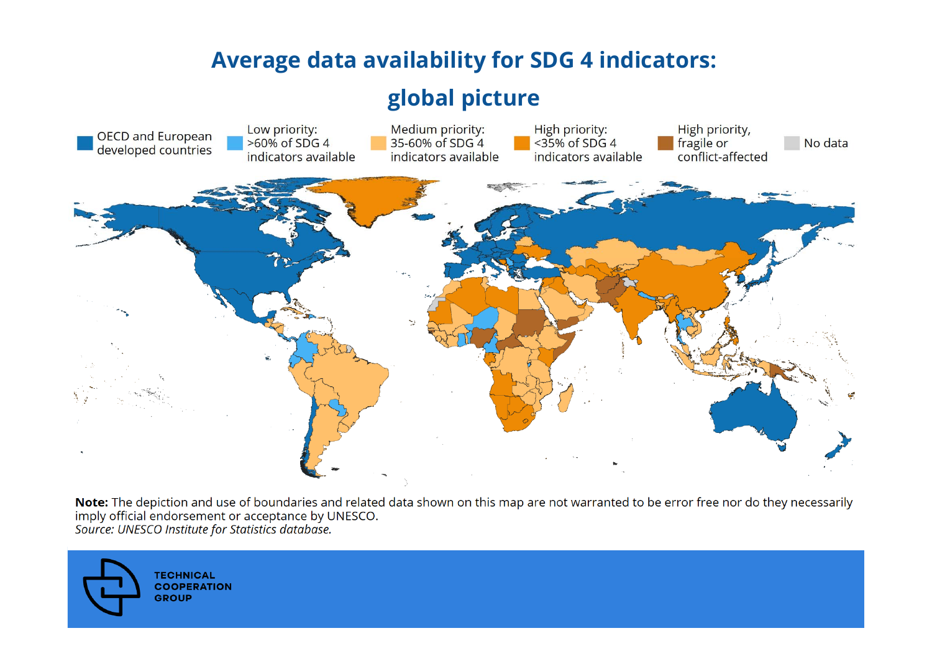### **Average data availability for SDG 4 indicators:**

#### **global picture**



Note: The depiction and use of boundaries and related data shown on this map are not warranted to be error free nor do they necessarily imply official endorsement or acceptance by UNESCO. Source: UNESCO Institute for Statistics database.

**TECHNICAL COOPERATION GROUP**